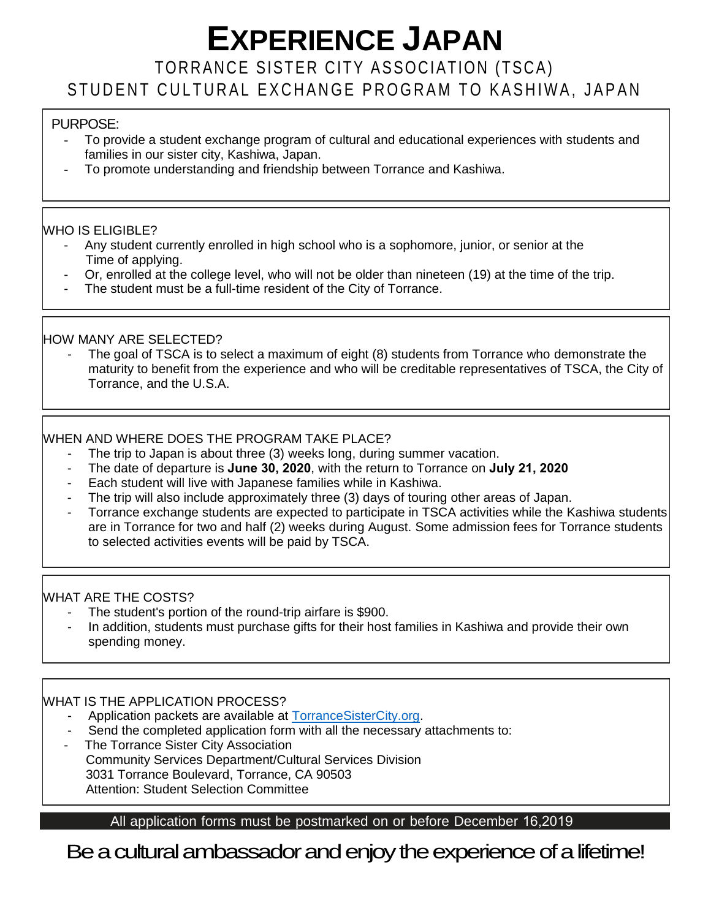# **EXPERIENCE JAPAN**

# TORRANCE SISTER CITY ASSOCIATION (TSCA) STUDENT CULTURAL EXCHANGE PROGRAM TO KASHIWA, JAPAN

#### PURPOSE:

- To provide a student exchange program of cultural and educational experiences with students and families in our sister city, Kashiwa, Japan.
- To promote understanding and friendship between Torrance and Kashiwa.

#### WHO IS ELIGIBLE?

- Any student currently enrolled in high school who is a sophomore, junior, or senior at the Time of applying.
- Or, enrolled at the college level, who will not be older than nineteen (19) at the time of the trip.
- The student must be a full-time resident of the City of Torrance.

#### HOW MANY ARE SELECTED?

The goal of TSCA is to select a maximum of eight (8) students from Torrance who demonstrate the maturity to benefit from the experience and who will be creditable representatives of TSCA, the City of Torrance, and the U.S.A.

#### WHEN AND WHERE DOES THE PROGRAM TAKE PLACE?

- The trip to Japan is about three (3) weeks long, during summer vacation.
- The date of departure is **June 30, 2020**, with the return to Torrance on **July 21, 2020**
- Each student will live with Japanese families while in Kashiwa.
- The trip will also include approximately three (3) days of touring other areas of Japan.
- Torrance exchange students are expected to participate in TSCA activities while the Kashiwa students are in Torrance for two and half (2) weeks during August. Some admission fees for Torrance students to selected activities events will be paid by TSCA.

#### WHAT ARE THE COSTS?

- The student's portion of the round-trip airfare is \$900.
- In addition, students must purchase gifts for their host families in Kashiwa and provide their own spending money.

#### WHAT IS THE APPLICATION PROCESS?

- Application packets are available at [TorranceSisterCity.org.](http://torrancesistercity.org/)
- Send the completed application form with all the necessary attachments to:
- The Torrance Sister City Association Community Services Department/Cultural Services Division 3031 Torrance Boulevard, Torrance, CA 90503 Attention: Student Selection Committee

### All application forms must be postmarked on or before December 16,2019

Be a cultural ambassador and enjoy the experience of a lifetime!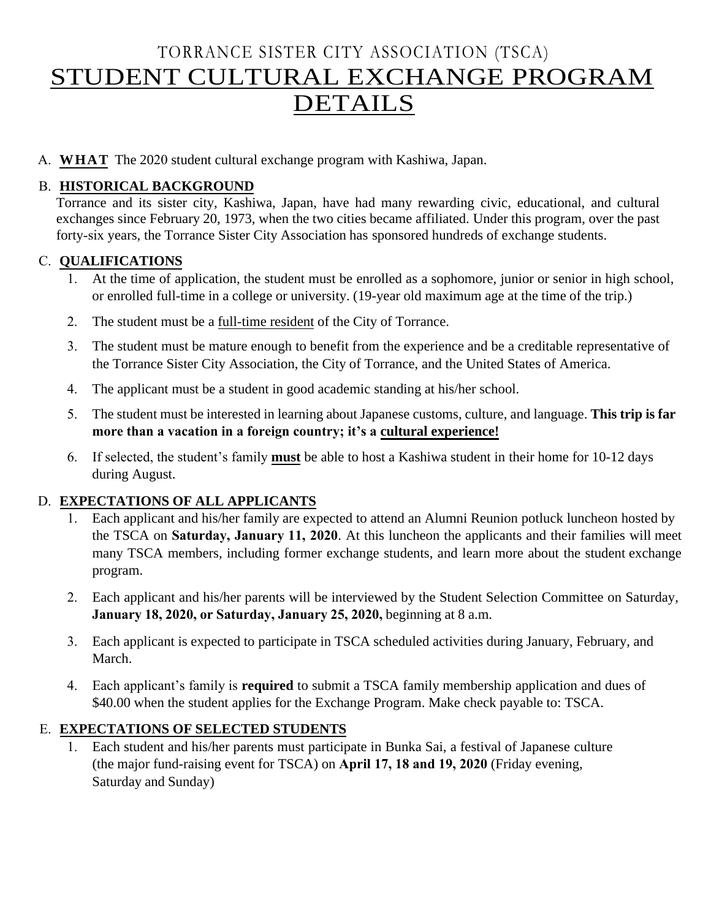# TORRANCE SISTER CITY ASSOCIATION (TSCA) STUDENT CULTURAL EXCHANGE PROGRAM DETAILS

A. **WHAT** The 2020 student cultural exchange program with Kashiwa, Japan.

#### B. **HISTORICAL BACKGROUND**

Torrance and its sister city, Kashiwa, Japan, have had many rewarding civic, educational, and cultural exchanges since February 20, 1973, when the two cities became affiliated. Under this program, over the past forty-six years, the Torrance Sister City Association has sponsored hundreds of exchange students.

#### C. **QUALIFICATIONS**

- 1. At the time of application, the student must be enrolled as a sophomore, junior or senior in high school, or enrolled full-time in a college or university. (19-year old maximum age at the time of the trip.)
- 2. The student must be a full-time resident of the City of Torrance.
- 3. The student must be mature enough to benefit from the experience and be a creditable representative of the Torrance Sister City Association, the City of Torrance, and the United States of America.
- 4. The applicant must be a student in good academic standing at his/her school.
- 5. The student must be interested in learning about Japanese customs, culture, and language. **This trip is far more than a vacation in a foreign country; it's a cultural experience!**
- 6. If selected, the student's family **must** be able to host a Kashiwa student in their home for 10-12 days during August.

#### D. **EXPECTATIONS OF ALL APPLICANTS**

- 1. Each applicant and his/her family are expected to attend an Alumni Reunion potluck luncheon hosted by the TSCA on **Saturday, January 11, 2020**. At this luncheon the applicants and their families will meet many TSCA members, including former exchange students, and learn more about the student exchange program.
- 2. Each applicant and his/her parents will be interviewed by the Student Selection Committee on Saturday, **January 18, 2020, or Saturday, January 25, 2020,** beginning at 8 a.m.
- 3. Each applicant is expected to participate in TSCA scheduled activities during January, February, and March.
- 4. Each applicant's family is **required** to submit a TSCA family membership application and dues of \$40.00 when the student applies for the Exchange Program. Make check payable to: TSCA.

#### E. **EXPECTATIONS OF SELECTED STUDENTS**

1. Each student and his/her parents must participate in Bunka Sai, a festival of Japanese culture (the major fund-raising event for TSCA) on **April 17, 18 and 19, 2020** (Friday evening, Saturday and Sunday)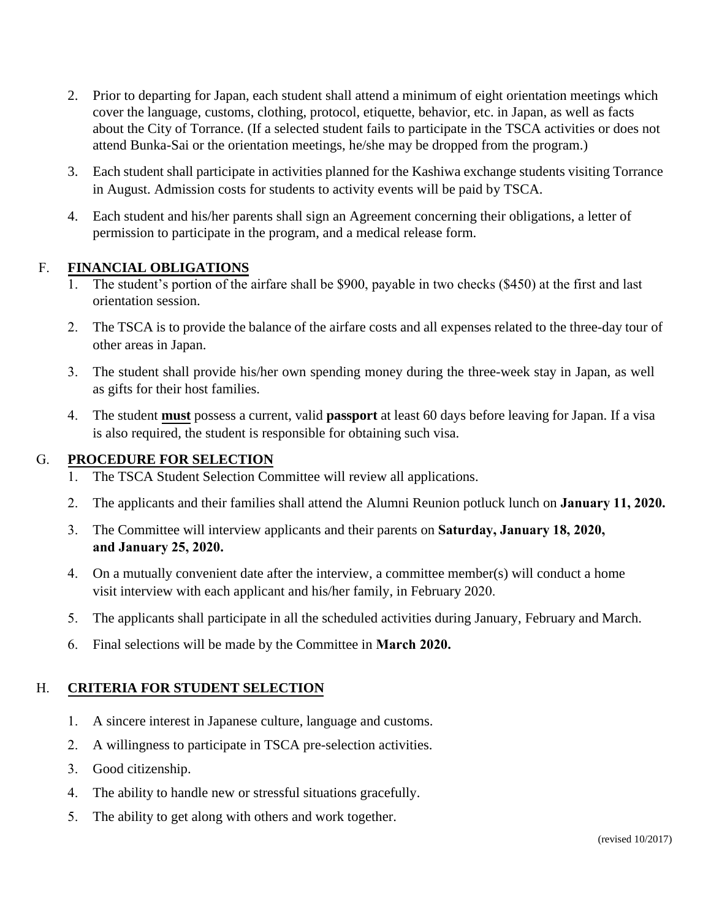- 2. Prior to departing for Japan, each student shall attend a minimum of eight orientation meetings which cover the language, customs, clothing, protocol, etiquette, behavior, etc. in Japan, as well as facts about the City of Torrance. (If a selected student fails to participate in the TSCA activities or does not attend Bunka-Sai or the orientation meetings, he/she may be dropped from the program.)
- 3. Each student shall participate in activities planned for the Kashiwa exchange students visiting Torrance in August. Admission costs for students to activity events will be paid by TSCA.
- 4. Each student and his/her parents shall sign an Agreement concerning their obligations, a letter of permission to participate in the program, and a medical release form.

#### F. **FINANCIAL OBLIGATIONS**

- 1. The student's portion of the airfare shall be \$900, payable in two checks (\$450) at the first and last orientation session.
- 2. The TSCA is to provide the balance of the airfare costs and all expenses related to the three-day tour of other areas in Japan.
- 3. The student shall provide his/her own spending money during the three-week stay in Japan, as well as gifts for their host families.
- 4. The student **must** possess a current, valid **passport** at least 60 days before leaving for Japan. If a visa is also required, the student is responsible for obtaining such visa.

#### G. **PROCEDURE FOR SELECTION**

- 1. The TSCA Student Selection Committee will review all applications.
- 2. The applicants and their families shall attend the Alumni Reunion potluck lunch on **January 11, 2020.**
- 3. The Committee will interview applicants and their parents on **Saturday, January 18, 2020, and January 25, 2020.**
- 4. On a mutually convenient date after the interview, a committee member(s) will conduct a home visit interview with each applicant and his/her family, in February 2020.
- 5. The applicants shall participate in all the scheduled activities during January, February and March.
- 6. Final selections will be made by the Committee in **March 2020.**

#### H. **CRITERIA FOR STUDENT SELECTION**

- 1. A sincere interest in Japanese culture, language and customs.
- 2. A willingness to participate in TSCA pre-selection activities.
- 3. Good citizenship.
- 4. The ability to handle new or stressful situations gracefully.
- 5. The ability to get along with others and work together.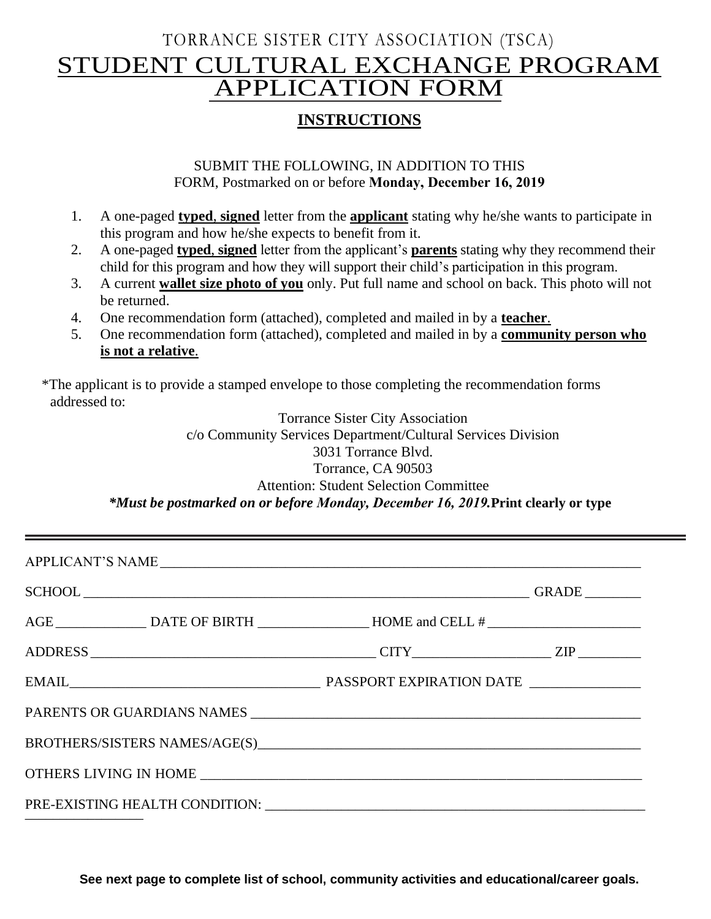# TORRANCE SISTER CITY ASSOCIATION (TSCA) STUDENT CULTURAL EXCHANGE PROGRAM APPLICATION FORM

### **INSTRUCTIONS**

#### SUBMIT THE FOLLOWING, IN ADDITION TO THIS FORM, Postmarked on or before **Monday, December 16, 2019**

- 1. A one-paged **typed**, **signed** letter from the **applicant** stating why he/she wants to participate in this program and how he/she expects to benefit from it.
- 2. A one-paged **typed**, **signed** letter from the applicant's **parents** stating why they recommend their child for this program and how they will support their child's participation in this program.
- 3. A current **wallet size photo of you** only. Put full name and school on back. This photo will not be returned.
- 4. One recommendation form (attached), completed and mailed in by a **teacher**.
- 5. One recommendation form (attached), completed and mailed in by a **community person who is not a relative**.

\*The applicant is to provide a stamped envelope to those completing the recommendation forms addressed to:

> Torrance Sister City Association c/o Community Services Department/Cultural Services Division 3031 Torrance Blvd. Torrance, CA 90503 Attention: Student Selection Committee *\*Must be postmarked on or before Monday, December 16, 2019.***Print clearly or type**

| AGE ___________________________DATE OF BIRTH ___________________HOME and CELL # ______________________________ |  |
|----------------------------------------------------------------------------------------------------------------|--|
|                                                                                                                |  |
|                                                                                                                |  |
|                                                                                                                |  |
|                                                                                                                |  |
|                                                                                                                |  |
|                                                                                                                |  |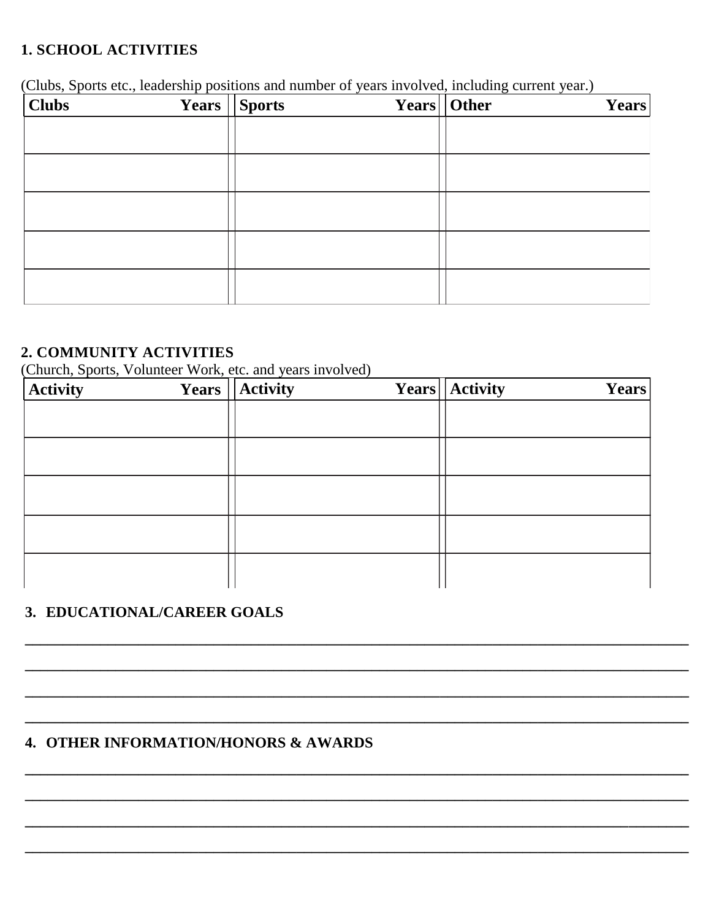### **1. SCHOOL ACTIVITIES**

(Clubs, Sports etc., leadership positions and number of years involved, including current year.)

| <b>Clubs</b> | Years   Sports | Years   Other | <b>Years</b> |
|--------------|----------------|---------------|--------------|
|              |                |               |              |
|              |                |               |              |
|              |                |               |              |
|              |                |               |              |
|              |                |               |              |
|              |                |               |              |
|              |                |               |              |
|              |                |               |              |
|              |                |               |              |

### 2. COMMUNITY ACTIVITIES

(Church, Sports, Volunteer Work, etc. and years involved)

| <b>Activity</b> | <b>Years</b>   Activity | Years   Activity | Years |
|-----------------|-------------------------|------------------|-------|
|                 |                         |                  |       |
|                 |                         |                  |       |
|                 |                         |                  |       |
|                 |                         |                  |       |
|                 |                         |                  |       |
|                 |                         |                  |       |
|                 |                         |                  |       |
|                 |                         |                  |       |
|                 |                         |                  |       |
|                 |                         |                  |       |

## 3. EDUCATIONAL/CAREER GOALS

# 4. OTHER INFORMATION/HONORS & AWARDS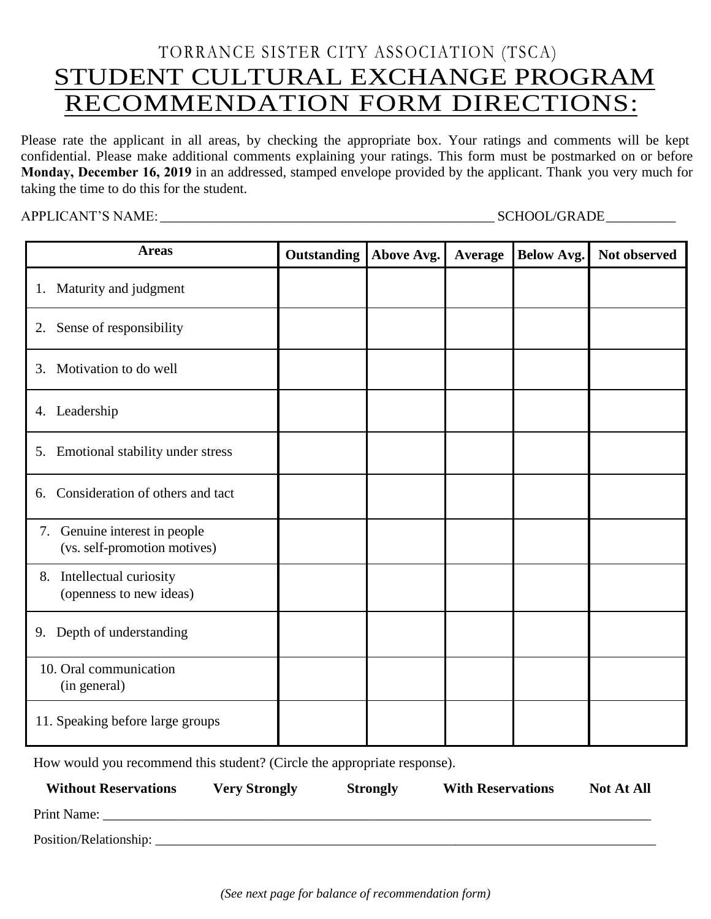# TORRANCE SISTER CITY ASSOCIATION (TSCA) STUDENT CULTURAL EXCHANGE PROGRAM RECOMMENDATION FORM DIRECTIONS:

Please rate the applicant in all areas, by checking the appropriate box. Your ratings and comments will be kept confidential. Please make additional comments explaining your ratings. This form must be postmarked on or before **Monday, December 16, 2019** in an addressed, stamped envelope provided by the applicant. Thank you very much for taking the time to do this for the student.

APPLICANT'S NAME: \_\_\_\_\_\_\_\_\_\_\_\_\_\_\_\_\_\_\_\_\_\_\_\_\_\_\_\_\_\_\_\_\_\_\_\_\_\_\_\_\_\_\_\_\_\_\_\_ SCHOOL/GRADE \_\_\_\_\_\_\_\_\_\_

| <b>Areas</b>                                                     | <b>Outstanding</b> | Above Avg. | Average | <b>Below Avg.</b> | Not observed |
|------------------------------------------------------------------|--------------------|------------|---------|-------------------|--------------|
| 1. Maturity and judgment                                         |                    |            |         |                   |              |
| Sense of responsibility<br>2.                                    |                    |            |         |                   |              |
| Motivation to do well<br>3.                                      |                    |            |         |                   |              |
| Leadership<br>4.                                                 |                    |            |         |                   |              |
| Emotional stability under stress<br>5.                           |                    |            |         |                   |              |
| Consideration of others and tact<br>6.                           |                    |            |         |                   |              |
| Genuine interest in people<br>7.<br>(vs. self-promotion motives) |                    |            |         |                   |              |
| Intellectual curiosity<br>8.<br>(openness to new ideas)          |                    |            |         |                   |              |
| 9. Depth of understanding                                        |                    |            |         |                   |              |
| 10. Oral communication<br>(in general)                           |                    |            |         |                   |              |
| 11. Speaking before large groups                                 |                    |            |         |                   |              |

How would you recommend this student? (Circle the appropriate response).

| <b>Without Reservations</b> | <b>Very Strongly</b> | <b>Strongly</b> | <b>With Reservations</b> | <b>Not At All</b> |
|-----------------------------|----------------------|-----------------|--------------------------|-------------------|
| Print Name:                 |                      |                 |                          |                   |
| Position/Relationship:      |                      |                 |                          |                   |

*(See next page for balance of recommendation form)*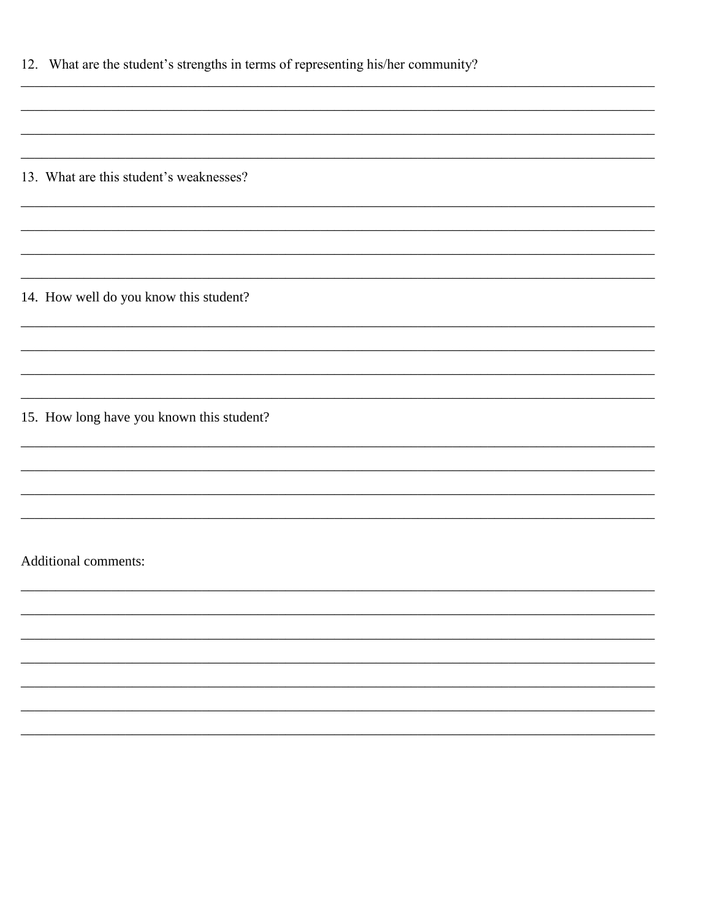| 12. What are the student's strengths in terms of representing his/her community? |  |  |
|----------------------------------------------------------------------------------|--|--|
|                                                                                  |  |  |

 $\overline{\phantom{0}}$ 

<u> 1989 - Andrea Albert III, martin a</u>

<u> 1980 - Jan Stein Stein Stein Stein Stein Stein Stein Stein Stein Stein Stein Stein Stein Stein Stein Stein S</u>

13. What are this student's weaknesses?

14. How well do you know this student?

15. How long have you known this student?

Additional comments: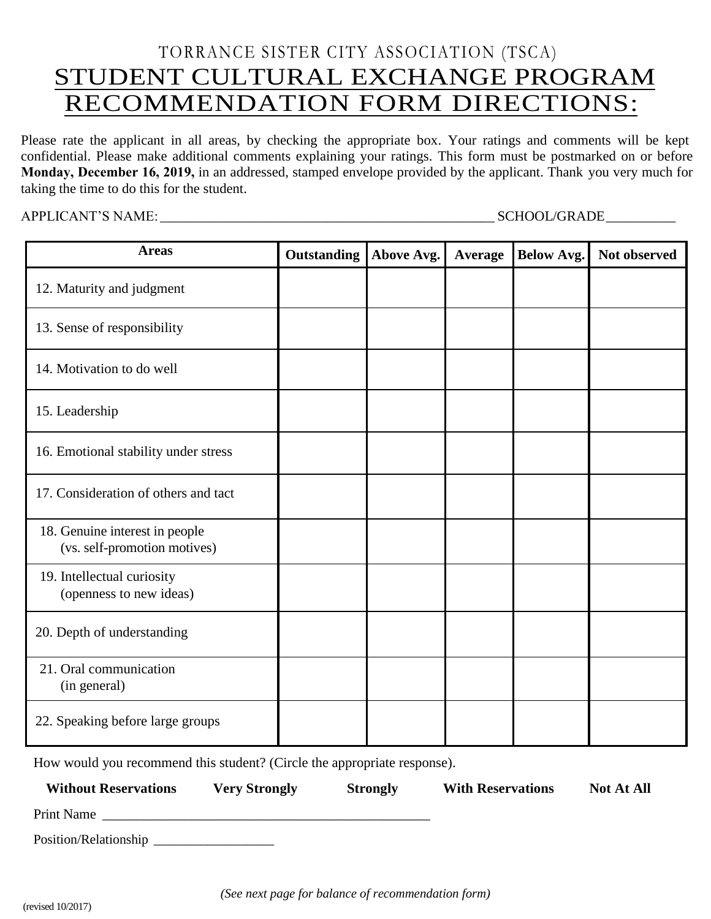# TORRANCE SISTER CITY ASSOCIATION (TSCA) STUDENT CULTURAL EXCHANGE PROGRAM RECOMMENDATION FORM DIRECTIONS:

Please rate the applicant in all areas, by checking the appropriate box. Your ratings and comments will be kept confidential. Please make additional comments explaining your ratings. This form must be postmarked on or before **Monday, December 16, 2019,** in an addressed, stamped envelope provided by the applicant. Thank you very much for taking the time to do this for the student.

APPLICANT'S NAME: \_\_\_\_\_\_\_\_\_\_\_\_\_\_\_\_\_\_\_\_\_\_\_\_\_\_\_\_\_\_\_\_\_\_\_\_\_\_\_\_\_\_\_\_\_\_\_\_ SCHOOL/GRADE \_\_\_\_\_\_\_\_\_\_

| <b>Areas</b>                                                   | <b>Outstanding</b> | Above Avg. | Average | <b>Below Avg.</b> | Not observed |
|----------------------------------------------------------------|--------------------|------------|---------|-------------------|--------------|
| 12. Maturity and judgment                                      |                    |            |         |                   |              |
| 13. Sense of responsibility                                    |                    |            |         |                   |              |
| 14. Motivation to do well                                      |                    |            |         |                   |              |
| 15. Leadership                                                 |                    |            |         |                   |              |
| 16. Emotional stability under stress                           |                    |            |         |                   |              |
| 17. Consideration of others and tact                           |                    |            |         |                   |              |
| 18. Genuine interest in people<br>(vs. self-promotion motives) |                    |            |         |                   |              |
| 19. Intellectual curiosity<br>(openness to new ideas)          |                    |            |         |                   |              |
| 20. Depth of understanding                                     |                    |            |         |                   |              |
| 21. Oral communication<br>(in general)                         |                    |            |         |                   |              |
| 22. Speaking before large groups                               |                    |            |         |                   |              |

How would you recommend this student? (Circle the appropriate response).

| <b>Without Reservations</b> | <b>Very Strongly</b>                                                                                                  | <b>Strongly</b> | <b>With Reservations</b> | <b>Not At All</b> |
|-----------------------------|-----------------------------------------------------------------------------------------------------------------------|-----------------|--------------------------|-------------------|
| Print Name                  | <u> 1980 - Johann Stoff, deutscher Stoff, der Stoff, der Stoff, der Stoff, der Stoff, der Stoff, der Stoff, der S</u> |                 |                          |                   |
|                             |                                                                                                                       |                 |                          |                   |

*(See next page for balance of recommendation form)*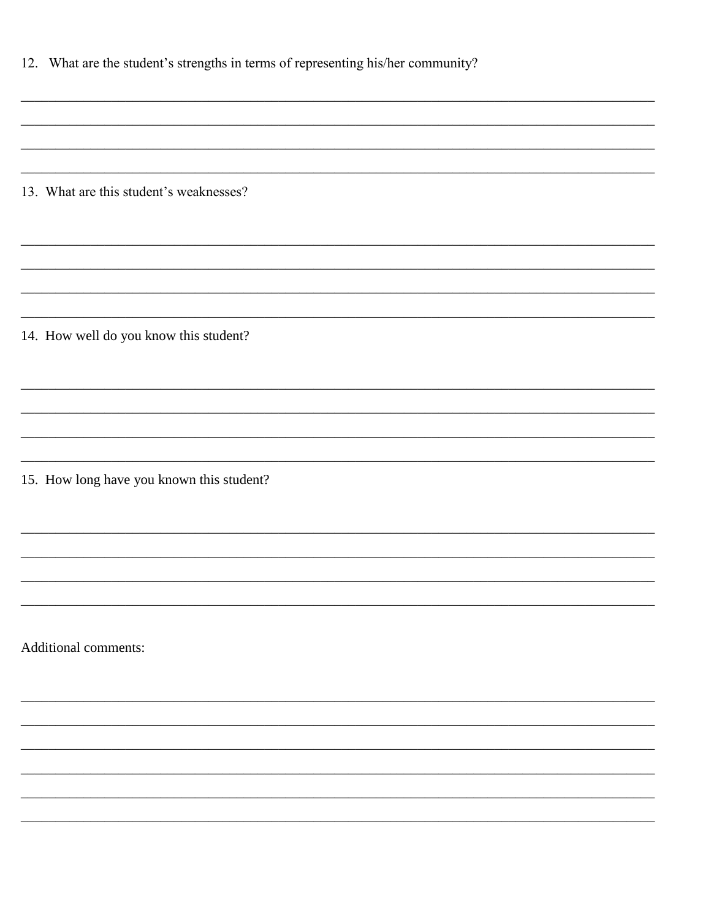| 12. What are the student's strengths in terms of representing his/her community? |  |  |
|----------------------------------------------------------------------------------|--|--|
|                                                                                  |  |  |

13. What are this student's weaknesses?

14. How well do you know this student?

15. How long have you known this student?

Additional comments: